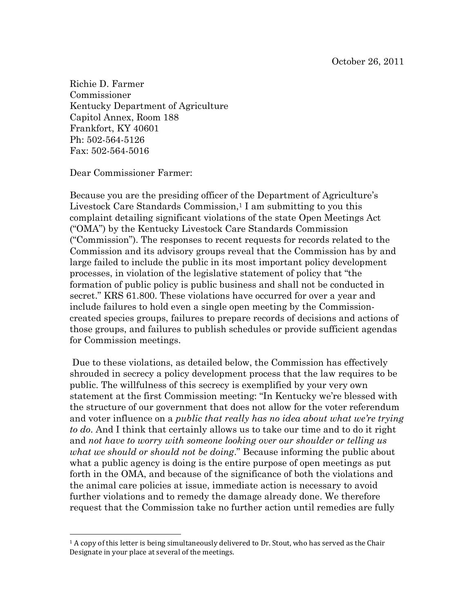Richie D. Farmer Commissioner Kentucky Department of Agriculture Capitol Annex, Room 188 Frankfort, KY 40601 Ph: 502-564-5126 Fax: 502-564-5016

Dear Commissioner Farmer:

 $\overline{a}$ 

Because you are the presiding officer of the Department of Agriculture's Livestock Care Standards Commission, <sup>1</sup> I am submitting to you this complaint detailing significant violations of the state Open Meetings Act ("OMA") by the Kentucky Livestock Care Standards Commission ("Commission"). The responses to recent requests for records related to the Commission and its advisory groups reveal that the Commission has by and large failed to include the public in its most important policy development processes, in violation of the legislative statement of policy that "the formation of public policy is public business and shall not be conducted in secret." KRS 61.800. These violations have occurred for over a year and include failures to hold even a single open meeting by the Commissioncreated species groups, failures to prepare records of decisions and actions of those groups, and failures to publish schedules or provide sufficient agendas for Commission meetings.

Due to these violations, as detailed below, the Commission has effectively shrouded in secrecy a policy development process that the law requires to be public. The willfulness of this secrecy is exemplified by your very own statement at the first Commission meeting: "In Kentucky we"re blessed with the structure of our government that does not allow for the voter referendum and voter influence on a *public that really has no idea about what we're trying to do*. And I think that certainly allows us to take our time and to do it right and *not have to worry with someone looking over our shoulder or telling us what we should or should not be doing*." Because informing the public about what a public agency is doing is the entire purpose of open meetings as put forth in the OMA, and because of the significance of both the violations and the animal care policies at issue, immediate action is necessary to avoid further violations and to remedy the damage already done. We therefore request that the Commission take no further action until remedies are fully

 $1$  A copy of this letter is being simultaneously delivered to Dr. Stout, who has served as the Chair Designate in your place at several of the meetings.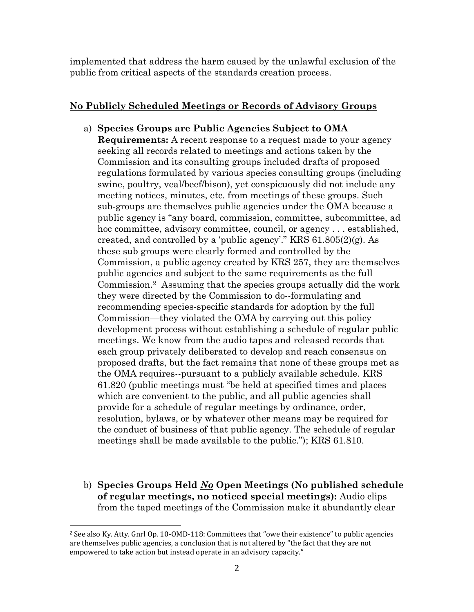implemented that address the harm caused by the unlawful exclusion of the public from critical aspects of the standards creation process.

## **No Publicly Scheduled Meetings or Records of Advisory Groups**

- a) **Species Groups are Public Agencies Subject to OMA Requirements:** A recent response to a request made to your agency seeking all records related to meetings and actions taken by the Commission and its consulting groups included drafts of proposed regulations formulated by various species consulting groups (including swine, poultry, veal/beef/bison), yet conspicuously did not include any meeting notices, minutes, etc. from meetings of these groups. Such sub-groups are themselves public agencies under the OMA because a public agency is "any board, commission, committee, subcommittee, ad hoc committee, advisory committee, council, or agency . . . established, created, and controlled by a 'public agency'." KRS  $61.805(2)(g)$ . As these sub groups were clearly formed and controlled by the Commission, a public agency created by KRS 257, they are themselves public agencies and subject to the same requirements as the full Commission.2 Assuming that the species groups actually did the work they were directed by the Commission to do--formulating and recommending species-specific standards for adoption by the full Commission—they violated the OMA by carrying out this policy development process without establishing a schedule of regular public meetings. We know from the audio tapes and released records that each group privately deliberated to develop and reach consensus on proposed drafts, but the fact remains that none of these groups met as the OMA requires--pursuant to a publicly available schedule. KRS 61.820 (public meetings must "be held at specified times and places which are convenient to the public, and all public agencies shall provide for a schedule of regular meetings by ordinance, order, resolution, bylaws, or by whatever other means may be required for the conduct of business of that public agency. The schedule of regular meetings shall be made available to the public."); KRS 61.810.
- b) **Species Groups Held** *No* **Open Meetings (No published schedule of regular meetings, no noticed special meetings):** Audio clips from the taped meetings of the Commission make it abundantly clear

 $\overline{a}$ 

 $2$  See also Ky. Atty. Gnrl Op. 10-OMD-118: Committees that "owe their existence" to public agencies are themselves public agencies, a conclusion that is not altered by "the fact that they are not empowered to take action but instead operate in an advisory capacity."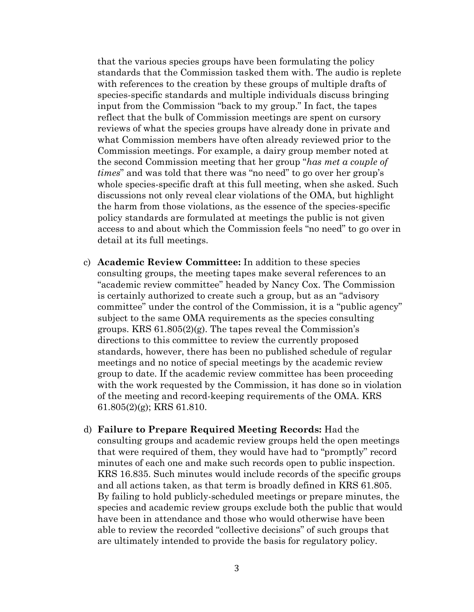that the various species groups have been formulating the policy standards that the Commission tasked them with. The audio is replete with references to the creation by these groups of multiple drafts of species-specific standards and multiple individuals discuss bringing input from the Commission "back to my group." In fact, the tapes reflect that the bulk of Commission meetings are spent on cursory reviews of what the species groups have already done in private and what Commission members have often already reviewed prior to the Commission meetings. For example, a dairy group member noted at the second Commission meeting that her group "*has met a couple of times*" and was told that there was "no need" to go over her group's whole species-specific draft at this full meeting, when she asked. Such discussions not only reveal clear violations of the OMA, but highlight the harm from those violations, as the essence of the species-specific policy standards are formulated at meetings the public is not given access to and about which the Commission feels "no need" to go over in detail at its full meetings.

- c) **Academic Review Committee:** In addition to these species consulting groups, the meeting tapes make several references to an "academic review committee" headed by Nancy Cox. The Commission is certainly authorized to create such a group, but as an "advisory committee" under the control of the Commission, it is a "public agency" subject to the same OMA requirements as the species consulting groups. KRS  $61.805(2)(g)$ . The tapes reveal the Commission's directions to this committee to review the currently proposed standards, however, there has been no published schedule of regular meetings and no notice of special meetings by the academic review group to date. If the academic review committee has been proceeding with the work requested by the Commission, it has done so in violation of the meeting and record-keeping requirements of the OMA. KRS 61.805(2)(g); KRS 61.810.
- d) **Failure to Prepare Required Meeting Records:** Had the consulting groups and academic review groups held the open meetings that were required of them, they would have had to "promptly" record minutes of each one and make such records open to public inspection. KRS 16.835. Such minutes would include records of the specific groups and all actions taken, as that term is broadly defined in KRS 61.805. By failing to hold publicly-scheduled meetings or prepare minutes, the species and academic review groups exclude both the public that would have been in attendance and those who would otherwise have been able to review the recorded "collective decisions" of such groups that are ultimately intended to provide the basis for regulatory policy.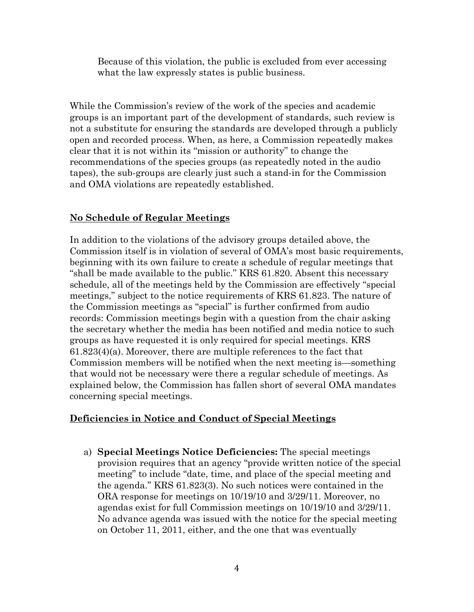Because of this violation, the public is excluded from ever accessing what the law expressly states is public business.

While the Commission's review of the work of the species and academic groups is an important part of the development of standards, such review is not a substitute for ensuring the standards are developed through a publicly open and recorded process. When, as here, a Commission repeatedly makes clear that it is not within its "mission or authority" to change the recommendations of the species groups (as repeatedly noted in the audio tapes), the sub-groups are clearly just such a stand-in for the Commission and OMA violations are repeatedly established.

## **No Schedule of Regular Meetings**

In addition to the violations of the advisory groups detailed above, the Commission itself is in violation of several of OMA"s most basic requirements, beginning with its own failure to create a schedule of regular meetings that "shall be made available to the public." KRS 61.820. Absent this necessary schedule, all of the meetings held by the Commission are effectively "special meetings," subject to the notice requirements of KRS 61.823. The nature of the Commission meetings as "special" is further confirmed from audio records: Commission meetings begin with a question from the chair asking the secretary whether the media has been notified and media notice to such groups as have requested it is only required for special meetings. KRS  $61.823(4)(a)$ . Moreover, there are multiple references to the fact that Commission members will be notified when the next meeting is—something that would not be necessary were there a regular schedule of meetings. As explained below, the Commission has fallen short of several OMA mandates concerning special meetings.

## **Deficiencies in Notice and Conduct of Special Meetings**

a) **Special Meetings Notice Deficiencies:** The special meetings provision requires that an agency "provide written notice of the special meeting" to include "date, time, and place of the special meeting and the agenda." KRS 61.823(3). No such notices were contained in the ORA response for meetings on 10/19/10 and 3/29/11. Moreover, no agendas exist for full Commission meetings on 10/19/10 and 3/29/11. No advance agenda was issued with the notice for the special meeting on October 11, 2011, either, and the one that was eventually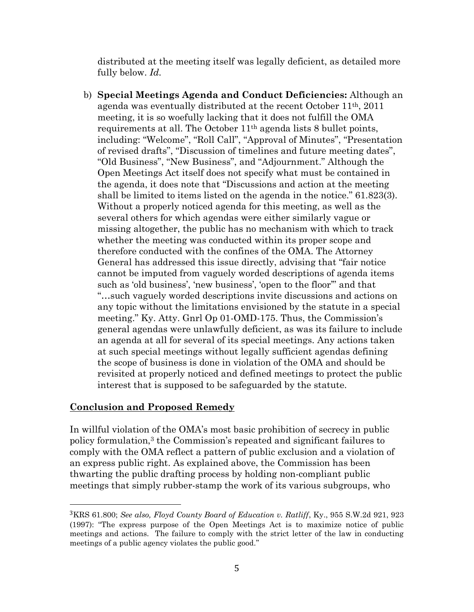distributed at the meeting itself was legally deficient, as detailed more fully below. *Id.*

b) **Special Meetings Agenda and Conduct Deficiencies:** Although an agenda was eventually distributed at the recent October 11th, 2011 meeting, it is so woefully lacking that it does not fulfill the OMA requirements at all. The October 11th agenda lists 8 bullet points, including: "Welcome", "Roll Call", "Approval of Minutes", "Presentation of revised drafts", "Discussion of timelines and future meeting dates", "Old Business", "New Business", and "Adjournment." Although the Open Meetings Act itself does not specify what must be contained in the agenda, it does note that "Discussions and action at the meeting shall be limited to items listed on the agenda in the notice." 61.823(3). Without a properly noticed agenda for this meeting, as well as the several others for which agendas were either similarly vague or missing altogether, the public has no mechanism with which to track whether the meeting was conducted within its proper scope and therefore conducted with the confines of the OMA. The Attorney General has addressed this issue directly, advising that "fair notice cannot be imputed from vaguely worded descriptions of agenda items such as 'old business', 'new business', 'open to the floor'" and that "…such vaguely worded descriptions invite discussions and actions on any topic without the limitations envisioned by the statute in a special meeting." Ky. Atty. Gnrl Op 01-OMD-175. Thus, the Commission's general agendas were unlawfully deficient, as was its failure to include an agenda at all for several of its special meetings. Any actions taken at such special meetings without legally sufficient agendas defining the scope of business is done in violation of the OMA and should be revisited at properly noticed and defined meetings to protect the public interest that is supposed to be safeguarded by the statute.

## **Conclusion and Proposed Remedy**

 $\overline{a}$ 

In willful violation of the OMA's most basic prohibition of secrecy in public policy formulation,<sup>3</sup> the Commission's repeated and significant failures to comply with the OMA reflect a pattern of public exclusion and a violation of an express public right. As explained above, the Commission has been thwarting the public drafting process by holding non-compliant public meetings that simply rubber-stamp the work of its various subgroups, who

<sup>3</sup>KRS 61.800; *See also, Floyd County Board of Education v. Ratliff*, Ky., 955 S.W.2d 921, 923 (1997): "The express purpose of the Open Meetings Act is to maximize notice of public meetings and actions. The failure to comply with the strict letter of the law in conducting meetings of a public agency violates the public good."